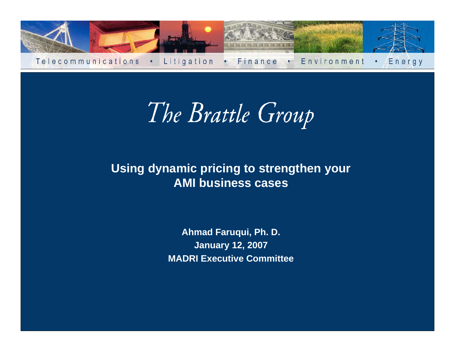

The Brattle Group

#### **Using dynamic pricing to strengthen your AMI b usiness cases**

**Ahmad Faruqui, Ph. D. January 12, 2007 MADRI Executive Committee**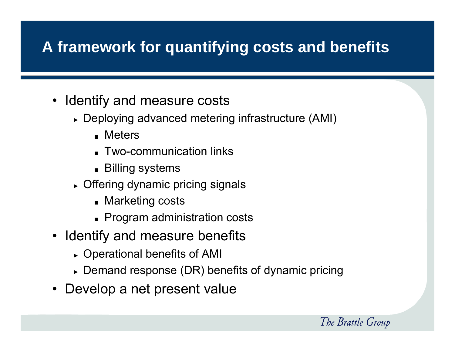#### **A framework for quantifying costs and benefits**

- Identify and measure costs
	- ► Deploying advanced metering infrastructure (AMI)
		- Meters
		- Two-communication links
		- Billing systems
	- ► Offering dynamic pricing signals
		- Marketing costs
		- Program administration costs
- Identify and measure benefits
	- ► Operational benefits of AMI
	- $\blacktriangleright$  Demand response (DR) benefits of dynamic pricing
- Develop a net present value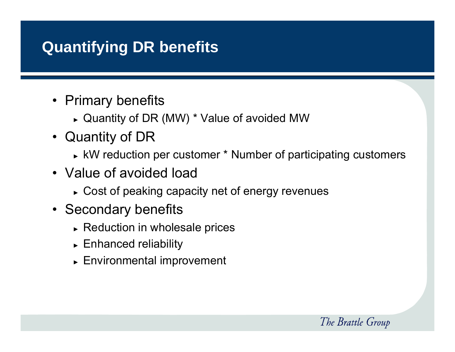#### **Quantifying DR benefits**

- Primary benefits
	- ► Quantity of DR (MW) \* Value of avoided MW
- Quantity of DR
	- ► kW reduction per customer \* Number of participating customers

- Value of avoided load
	- ► Cost of peaking capacity net of energy revenues
- Secondary benefits
	- ► Reduction in wholesale prices
	- ► Enhanced reliability
	- ► Environmental improvement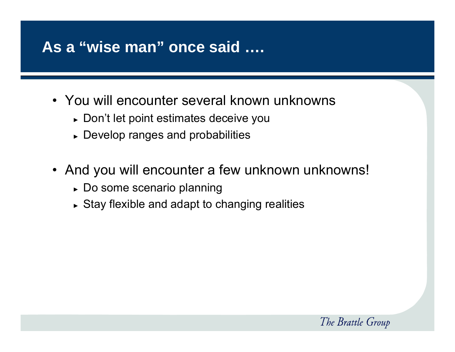#### **As a "wise man" once said ….**

- You will encounter several known unknowns
	- ► Don't let point estimates deceive you
	- ► Develop ranges and probabilities
- And you will encounter a few unknown unknowns!
	- ► Do some scenario planning
	- ► Stay flexible and adapt to changing realities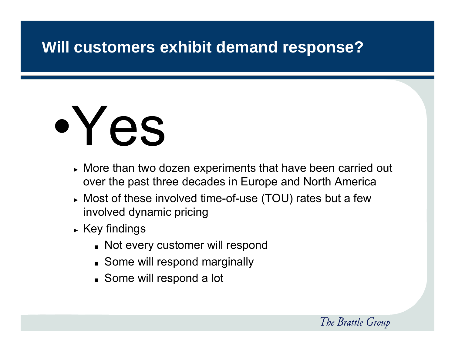#### **Will customers exhibit demand response?**

# •Yes

- ► More than two dozen experiments that have been carried out over the past three decades in Europe and North America
- ► Most of these involved time-of-use (TOU) rates but a few involved dynamic pricing
- ► Key findings
	- Not every customer will respond
	- Some will respond marginally
	- Some will respond a lot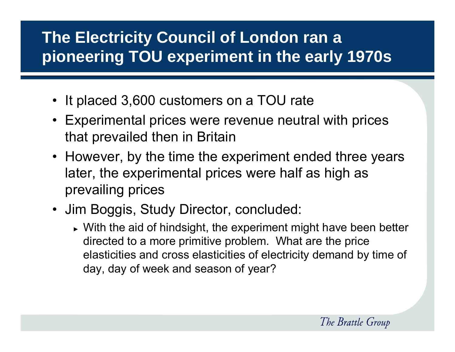## **The Electricity Council of London ran a pioneering TOU experiment in the early 1970s**

- It placed 3,600 customers on a TOU rate
- Experimental prices were revenue neutral with prices that prevailed then in Britain
- However, by the time the experiment ended three years later, the experimental prices were half as high as prevailing prices
- Jim Boggis, Study Director, concluded:
	- ► With the aid of hindsight, the experiment might have been better directed to a more primitive problem. What are the price elasticities and cross elasticities of electricity demand by time of day, day of week and season of year?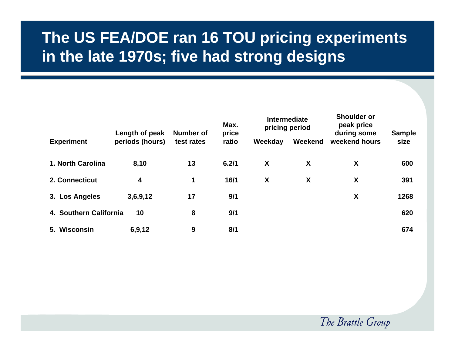#### **The US FEA/DOE ran 16 TOU pricing experiments in the late 1970s; five had strong designs**

|                        | Length of peak<br>periods (hours) | Number of<br>test rates | Max.<br>price<br>ratio | <b>Intermediate</b><br>pricing period |         | <b>Snoulder</b> or<br>peak price<br>during some | <b>Sample</b> |
|------------------------|-----------------------------------|-------------------------|------------------------|---------------------------------------|---------|-------------------------------------------------|---------------|
| <b>Experiment</b>      |                                   |                         |                        | Weekday                               | Weekend | weekend hours                                   | size          |
| 1. North Carolina      | 8,10                              | 13                      | 6.2/1                  | X                                     | X       | X                                               | 600           |
| 2. Connecticut         | 4                                 | 1                       | 16/1                   | X                                     | X       | X                                               | 391           |
| 3. Los Angeles         | 3,6,9,12                          | 17                      | 9/1                    |                                       |         | X                                               | 1268          |
| 4. Southern California | 10                                | 8                       | 9/1                    |                                       |         |                                                 | 620           |
| 5. Wisconsin           | 6,9,12                            | 9                       | 8/1                    |                                       |         |                                                 | 674           |

**Shoulder or**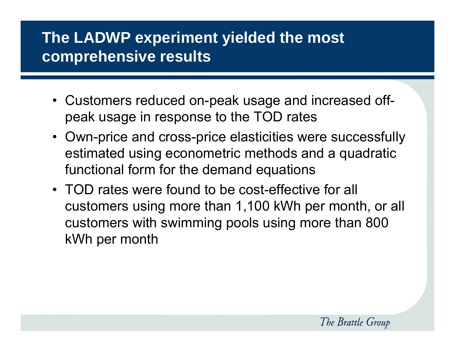#### **The LADWP experiment yielded the most comprehensive results**

- Customers reduced on-peak usage and increased offpeak usage in response to the TOD rates
- Own-price and cross-price elasticities were successfully estimated using econometric methods and a quadratic functional form for the demand equations
- TOD rates were found to be cost-effective for all customers using more than 1,100 kWh per month, or all customers with swimming pools using more than 800 kWh per month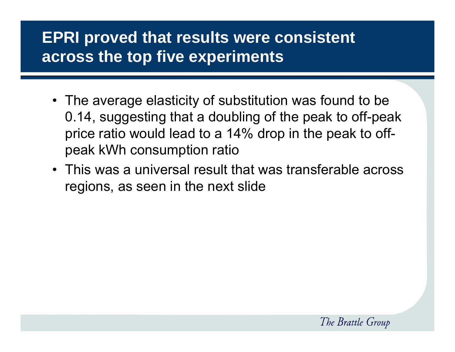#### **EPRI proved that results were consistent across the top five experiments**

- The average elasticity of substitution was found to be 0.14, suggesting that a doubling of the peak to off-peak price ratio would lead to a 14% drop in the peak to offpeak kWh consumption ratio
- This was a universal result that was transferable across regions, as seen in the next slide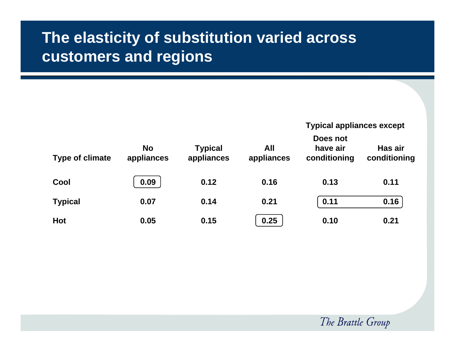#### **The elasticity of substitution varied across customers and regions**

#### **Typical appliances except**

| <b>Type of climate</b> |                         |                              | Does not          |                          |                         |  |  |
|------------------------|-------------------------|------------------------------|-------------------|--------------------------|-------------------------|--|--|
|                        | <b>No</b><br>appliances | <b>Typical</b><br>appliances | All<br>appliances | have air<br>conditioning | Has air<br>conditioning |  |  |
| Cool                   | 0.09                    | 0.12                         | 0.16              | 0.13                     | 0.11                    |  |  |
| <b>Typical</b>         | 0.07                    | 0.14                         | 0.21              | 0.11                     | 0.16                    |  |  |
| <b>Hot</b>             | 0.05                    | 0.15                         | 0.25              | 0.10                     | 0.21                    |  |  |

The Brattle Group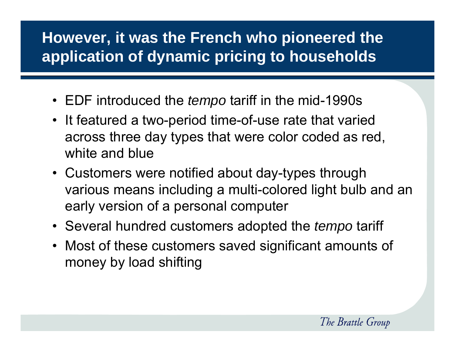#### **However, it was the French who pioneered the application of dynamic pricing to households**

- EDF introduced the *tempo* tariff in the mid-1990s
- It featured a two-period time-of-use rate that varied across three day types that were color coded as red, white and blue
- Customers were notified about day-types through various means including a multi-colored light bulb and an early version of a personal computer
- Several hundred customers adopted the *tempo* tariff
- Most of these customers saved significant amounts of money by load shifting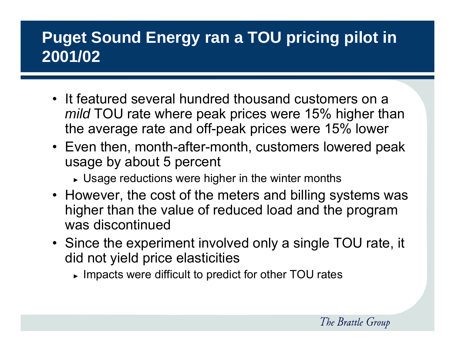## **Puget Sound Energy ran a TOU pricing pilot in 2001/02**

- It featured several hundred thousand customers on a *mild* TOU rate where peak prices were 15% higher than the average rate and off-peak prices were 15% lower
- Even then, month-after-month, customers lowered peak usage by about 5 percent
	- $\overline{\phantom{\bullet}}$  Usage reductions were higher in the winter months
- However, the cost of the meters and billing systems was higher than the value of reduced load and the program was discontinued
- Since the experiment involved only a single TOU rate, it did not yield price elasticities
	- $\blacktriangleright$  Impacts were difficult to predict for other TOU rates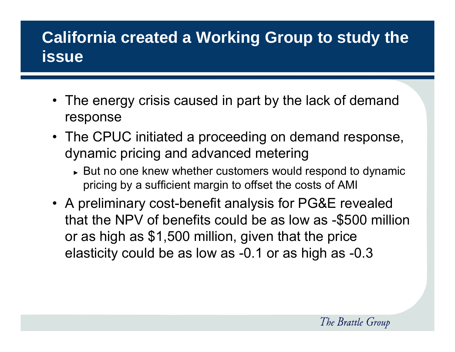## **California created a Working Group to study the issue**

- The energy crisis caused in part by the lack of demand response
- The CPUC initiated a proceeding on demand response, dynamic pricing and advanced metering
	- ► But no one knew whether customers would respond to dynamic pricing by a sufficient margin to offset the costs of AMI
- A preliminary cost-benefit analysis for PG&E revealed that the NPV of benefits could be as low as -\$500 million or as high as \$1,500 million, given that the price elasticity could be as low as -0.1 or as high as -0.3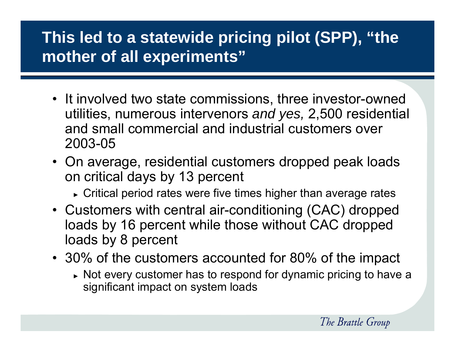## **This led to a statewide pricing pilot (SPP), "the mother of all experiments"**

- It involved two state commissions, three investor-owned utilities, numerous intervenors *and yes,* 2,500 residential and small commercial and industrial customers over 2003-05
- On average, residential customers dropped peak loads on critical days by 13 percent
	- $\overline{\phantom{a}}$  Critical period rates were five times higher than average rates
- Customers with central air-conditioning (CAC) dropped loads by 16 percent while those without CAC dropped loads by 8 percent
- 30% of the customers accounted for 80% of the impact
	- ► Not every customer has to respond for dynamic pricing to have a significant impact on system loads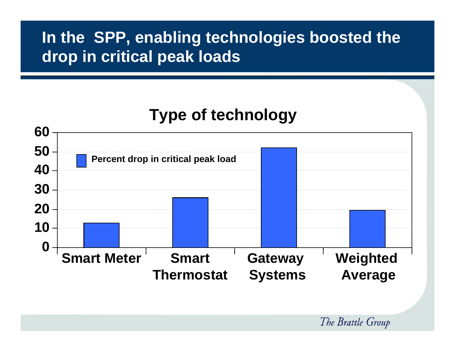#### **In the SPP, enabling technologies boosted the drop in critical peak loads**

## **Type of technology**

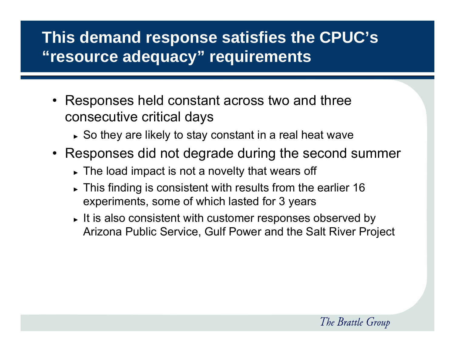## **This demand response satisfies the CPUC's "resource adequacy" requirements**

- Responses held constant across two and three consecutive critical days
	- ► So they are likely to stay constant in a real heat wave
- Responses did not degrade during the second summer
	- ► The load impact is not a novelty that wears off
	- $\blacktriangleright$  This finding is consistent with results from the earlier 16 experiments, some of which lasted for 3 years
	- ► It is also consistent with customer responses observed by Arizona Public Service, Gulf Power and the Salt River Project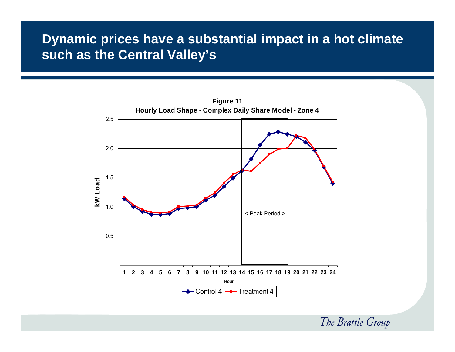#### **Dynamic prices have a substantial impact in a hot climate such as the Central Valley's**

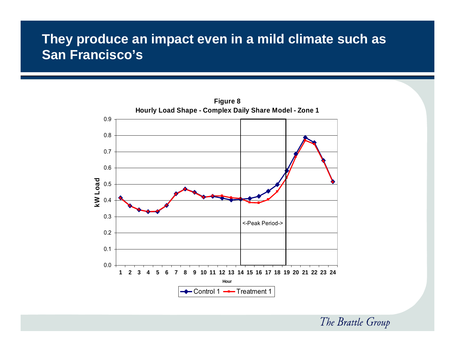#### **They produce an impact even in a mild climate such as San Francisco's**

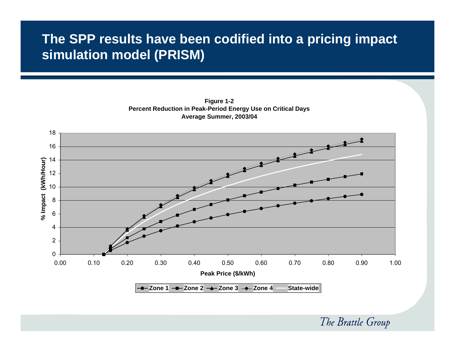#### **The SPP results have been codified into a pricing impact simulation model (PRISM)**



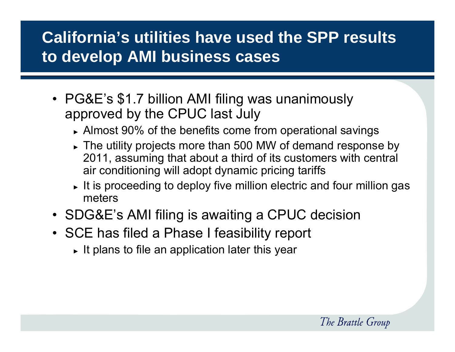## **California's utilities have used the SPP results to develop AMI business cases**

- PG&E's \$1.7 billion AMI filing was unanimously approved by the CPUC last July
	- ► Almost 90% of the benefits come from operational savings
	- ► The utility projects more than 500 MW of demand response by 2011, assuming that about a third of its customers with central air conditioning will adopt dynamic pricing tariffs
	- $\blacktriangleright$  It is proceeding to deploy five million electric and four million gas meters
- SDG&E's AMI filing is awaiting a CPUC decision
- SCE has filed a Phase I feasibility report
	- $\blacktriangleright$  It plans to file an application later this year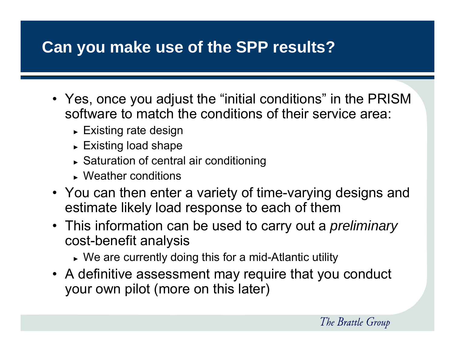## **Can you make use of the SPP results?**

- Yes, once you adjust the "initial conditions" in the PRISM software to match the conditions of their service area:
	- ► Existing rate design
	- ► Existing load shape
	- ► Saturation of central air conditioning
	- ► Weather conditions
- You can then enter a variety of time-varying designs and estimate likely load response to each of them
- This information can be used to carry out a *preliminary* cost-benefit analysis
	- ► We are currently doing this for a mid-Atlantic utility
- A definitive assessment may require that you conduct your own pilot (more on this later)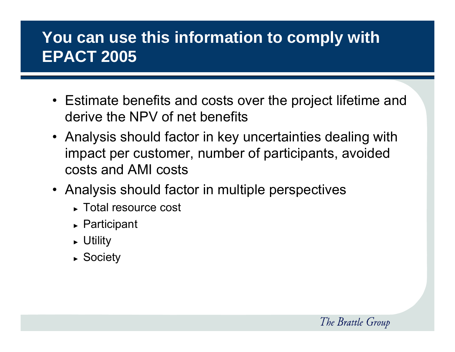## **You can use this information to comply with EPACT 2005**

- Estimate benefits and costs over the project lifetime and derive the NPV of net benefits
- Analysis should factor in key uncertainties dealing with impact per customer, number of participants, avoided costs and AMI costs
- Analysis should factor in multiple perspectives
	- ► Total resource cost
	- ► Participant
	- ► Utility
	- ► Society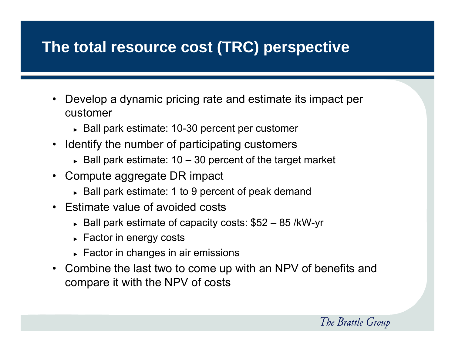#### **The total resource cost (TRC) perspective**

- $\bullet$  Develop a dynamic pricing rate and estimate its impact per customer
	- ► Ball park estimate: 10-30 percent per customer
- Identify the number of participating customers
	- ► Ball park estimate: 10 30 percent of the target market
- • Compute aggregate DR impact
	- ► Ball park estimate: 1 to 9 percent of peak demand
- Estimate value of avoided costs
	- ► Ball park estimate of capacity costs: \$52 85 /kW-yr
	- ► Factor in energy costs
	- ► Factor in changes in air emissions
- • Combine the last two to come up with an NPV of benefits and compare it with the NPV of costs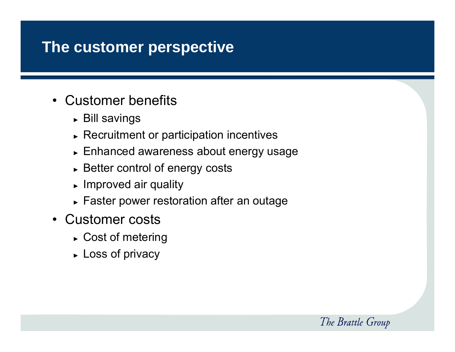#### **The customer perspective**

- • Customer benefits
	- ► Bill savings
	- ► Recruitment or participation incentives
	- ► Enhanced awareness about energy usage
	- ► Better control of energy costs
	- ► Improved air quality
	- ► Faster power restoration after an outage
- Customer costs
	- ► Cost of metering
	- ► Loss of privacy

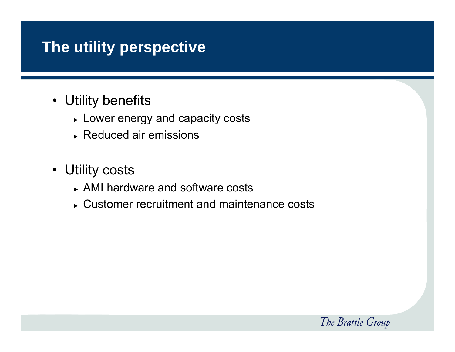#### **The utility perspective**

- Utility benefits
	- ► Lower energy and capacity costs
	- ► Reduced air emissions
- Utility costs
	- ► AMI hardware and software costs
	- ► Customer recruitment and maintenance costs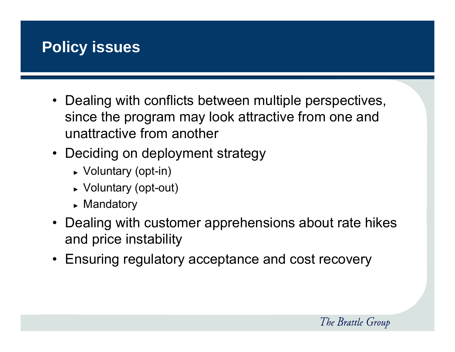

- Dealing with conflicts between multiple perspectives, since the program may look attractive from one and unattractive from another
- Deciding on deployment strategy
	- ► Voluntary (opt-in)
	- ► Voluntary (opt-out)
	- ► Mandatory
- Dealing with customer apprehensions about rate hikes and price instability
- Ensuring regulatory acceptance and cost recovery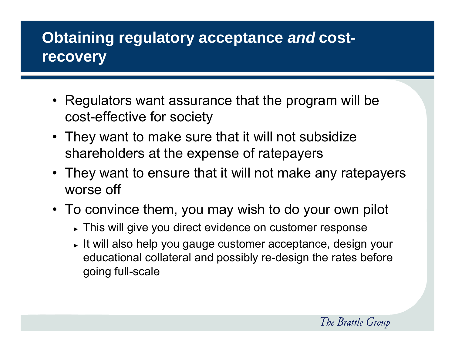#### **Obtaining regulatory acceptance** *and* **costrecovery**

- Regulators want assurance that the program will be cost-effective for society
- They want to make sure that it will not subsidize shareholders at the expense of ratepayers
- They want to ensure that it will not make any ratepayers worse off
- To convince them, you may wish to do your own pilot
	- ► This will give you direct evidence on customer response
	- ► It will also help you gauge customer acceptance, design your educational collateral and possibly re-design the rates before going full-scale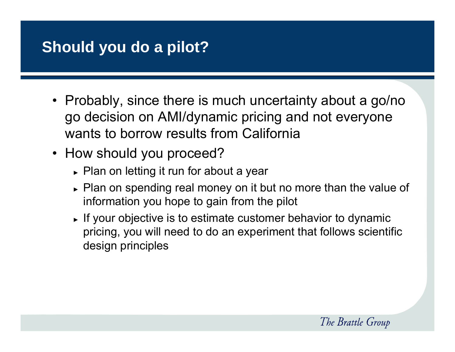## **Should you do a pilot?**

- Probably, since there is much uncertainty about a go/no go decision on AMI/dynamic pricing and not everyone wants to borrow results from California
- How should you proceed?
	- ► Plan on letting it run for about a year
	- ► Plan on spending real money on it but no more than the value of information you hope to gain from the pilot
	- ► If your objective is to estimate customer behavior to dynamic pricing, you will need to do an experiment that follows scientific design principles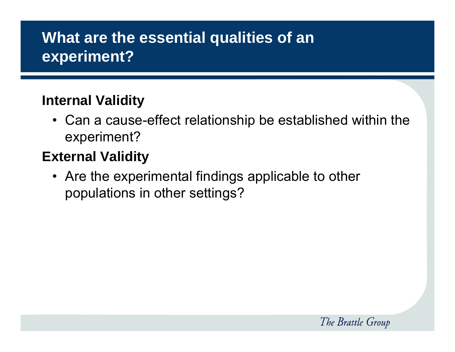#### **What are the essential qualities of an experiment?**

#### **Internal Validity**

• Can a cause-effect relationship be established within the experiment?

#### **External Validity**

• Are the experimental findings applicable to other populations in other settings?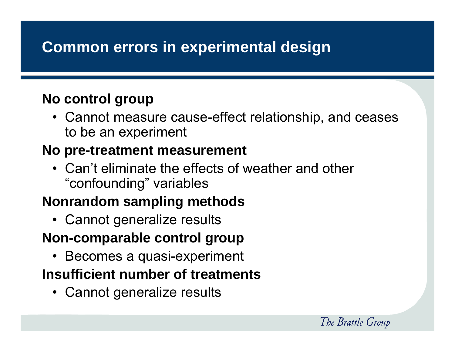#### **Common errors in experimental design**

#### **No control group**

• Cannot measure cause-effect relationship, and ceases to be an experiment

#### **No pre-treatment measurement**

• Can't eliminate the effects of weather and other "confounding" variables

#### **Nonrandom sampling methods**

• Cannot generalize results

#### **Non-comparable control group**

• Becomes a quasi-experiment

#### **Insufficient number of treatments**

• Cannot generalize results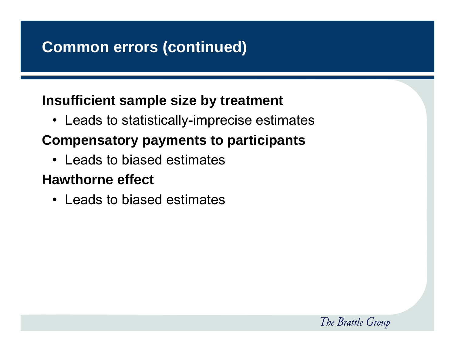#### **Common errors (continued)**

#### **Insufficient sample size by treatment**

• Leads to statistically-imprecise estimates

#### **Compensatory payments to participants**

• Leads to biased estimates

#### **Hawthorne effect**

• Leads to biased estimates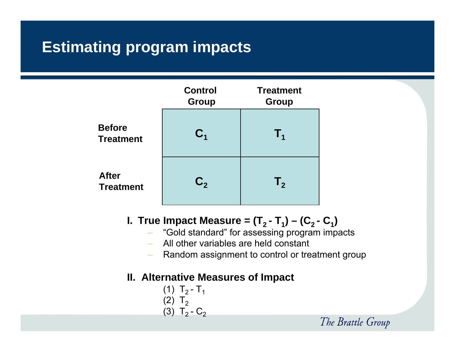#### **Estimating program impacts**



#### **I.** <code>True Impact Measure = (T<sub>2</sub> - T<sub>1</sub>) – (C<sub>2</sub> - C<sub>1</sub>)</code>

- "Gold standard" for assessing program impacts
- –All other variables are held constant
- –Random assignment to control or treatment group

#### **II. Alternative Measures of Impact**

(1) 
$$
T_2 - T_1
$$
  
(2)  $T_2$   
(3)  $T_2 - C_2$ 

The Brattle Group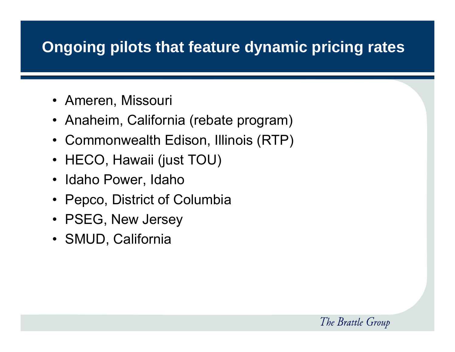#### **Ongoing pilots that feature dynamic pricing rates**

- Ameren, Missouri
- Anaheim, California (rebate program)
- $\bullet$ Commonwealth Edison, Illinois (RTP)
- HECO, Hawaii (just TOU)
- Idaho Power, Idaho
- Pepco, District of Columbia
- PSEG, New Jersey
- SMUD, California

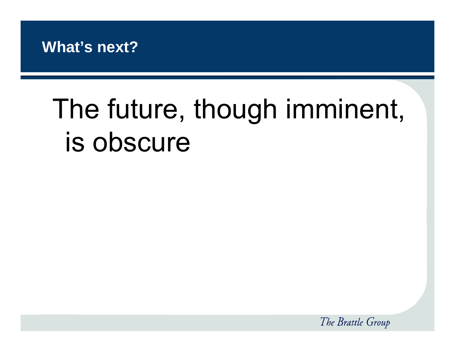

## The future, though imminent, is obscure

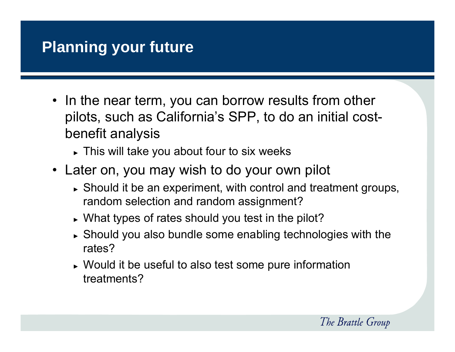#### **Planning your future**

- In the near term, you can borrow results from other pilots, such as California's SPP, to do an initial costbenefit analysis
	- ► This will take you about four to six weeks
- Later on, you may wish to do your own pilot
	- ► Should it be an experiment, with control and treatment groups, random selection and random assignment?
	- ► What types of rates should you test in the pilot?
	- $\blacktriangleright$  Should you also bundle some enabling technologies with the rates?
	- ► Would it be useful to also test some pure information treatments?